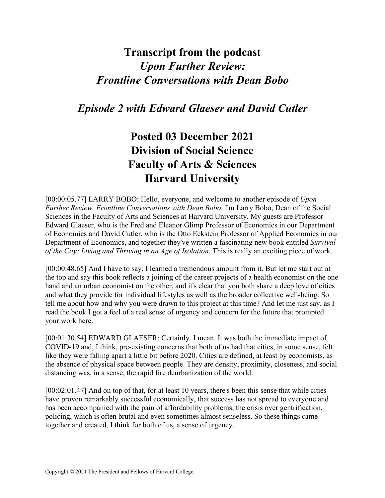# **Transcript from the podcast** *Upon Further Review: Frontline Conversations with Dean Bobo*

## *Episode 2 with Edward Glaeser and David Cutler*

# **Posted 03 December 2021 Division of Social Science Faculty of Arts & Sciences Harvard University**

[00:00:05.77] LARRY BOBO: Hello, everyone, and welcome to another episode of *Upon Further Review, Frontline Conversations with Dean Bobo*. I'm Larry Bobo, Dean of the Social Sciences in the Faculty of Arts and Sciences at Harvard University. My guests are Professor Edward Glaeser, who is the Fred and Eleanor Glimp Professor of Economics in our Department of Economics and David Cutler, who is the Otto Eckstein Professor of Applied Economics in our Department of Economics, and together they've written a fascinating new book entitled *Survival of the City: Living and Thriving in an Age of Isolation*. This is really an exciting piece of work.

[00:00:48.65] And I have to say, I learned a tremendous amount from it. But let me start out at the top and say this book reflects a joining of the career projects of a health economist on the one hand and an urban economist on the other, and it's clear that you both share a deep love of cities and what they provide for individual lifestyles as well as the broader collective well-being. So tell me about how and why you were drawn to this project at this time? And let me just say, as I read the book I got a feel of a real sense of urgency and concern for the future that prompted your work here.

[00:01:30.54] EDWARD GLAESER: Certainly. I mean. It was both the immediate impact of COVID-19 and, I think, pre-existing concerns that both of us had that cities, in some sense, felt like they were falling apart a little bit before 2020. Cities are defined, at least by economists, as the absence of physical space between people. They are density, proximity, closeness, and social distancing was, in a sense, the rapid fire deurbanization of the world.

[00:02:01.47] And on top of that, for at least 10 years, there's been this sense that while cities have proven remarkably successful economically, that success has not spread to everyone and has been accompanied with the pain of affordability problems, the crisis over gentrification, policing, which is often brutal and even sometimes almost senseless. So these things came together and created, I think for both of us, a sense of urgency.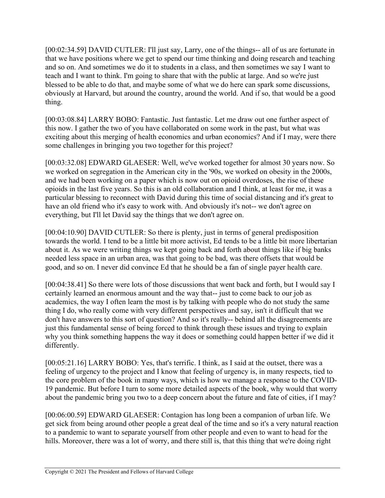[00:02:34.59] DAVID CUTLER: I'll just say, Larry, one of the things-- all of us are fortunate in that we have positions where we get to spend our time thinking and doing research and teaching and so on. And sometimes we do it to students in a class, and then sometimes we say I want to teach and I want to think. I'm going to share that with the public at large. And so we're just blessed to be able to do that, and maybe some of what we do here can spark some discussions, obviously at Harvard, but around the country, around the world. And if so, that would be a good thing.

[00:03:08.84] LARRY BOBO: Fantastic. Just fantastic. Let me draw out one further aspect of this now. I gather the two of you have collaborated on some work in the past, but what was exciting about this merging of health economics and urban economics? And if I may, were there some challenges in bringing you two together for this project?

[00:03:32.08] EDWARD GLAESER: Well, we've worked together for almost 30 years now. So we worked on segregation in the American city in the '90s, we worked on obesity in the 2000s, and we had been working on a paper which is now out on opioid overdoses, the rise of these opioids in the last five years. So this is an old collaboration and I think, at least for me, it was a particular blessing to reconnect with David during this time of social distancing and it's great to have an old friend who it's easy to work with. And obviously it's not-- we don't agree on everything, but I'll let David say the things that we don't agree on.

[00:04:10.90] DAVID CUTLER: So there is plenty, just in terms of general predisposition towards the world. I tend to be a little bit more activist, Ed tends to be a little bit more libertarian about it. As we were writing things we kept going back and forth about things like if big banks needed less space in an urban area, was that going to be bad, was there offsets that would be good, and so on. I never did convince Ed that he should be a fan of single payer health care.

[00:04:38.41] So there were lots of those discussions that went back and forth, but I would say I certainly learned an enormous amount and the way that-- just to come back to our job as academics, the way I often learn the most is by talking with people who do not study the same thing I do, who really come with very different perspectives and say, isn't it difficult that we don't have answers to this sort of question? And so it's really-- behind all the disagreements are just this fundamental sense of being forced to think through these issues and trying to explain why you think something happens the way it does or something could happen better if we did it differently.

[00:05:21.16] LARRY BOBO: Yes, that's terrific. I think, as I said at the outset, there was a feeling of urgency to the project and I know that feeling of urgency is, in many respects, tied to the core problem of the book in many ways, which is how we manage a response to the COVID-19 pandemic. But before I turn to some more detailed aspects of the book, why would that worry about the pandemic bring you two to a deep concern about the future and fate of cities, if I may?

[00:06:00.59] EDWARD GLAESER: Contagion has long been a companion of urban life. We get sick from being around other people a great deal of the time and so it's a very natural reaction to a pandemic to want to separate yourself from other people and even to want to head for the hills. Moreover, there was a lot of worry, and there still is, that this thing that we're doing right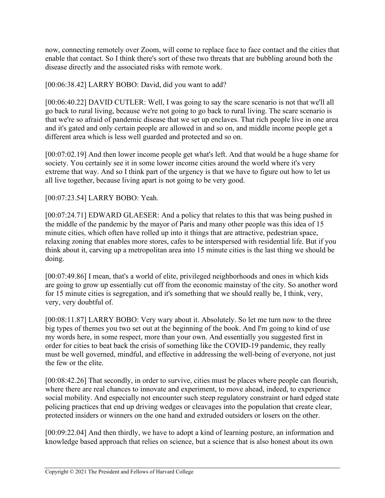now, connecting remotely over Zoom, will come to replace face to face contact and the cities that enable that contact. So I think there's sort of these two threats that are bubbling around both the disease directly and the associated risks with remote work.

### [00:06:38.42] LARRY BOBO: David, did you want to add?

[00:06:40.22] DAVID CUTLER: Well, I was going to say the scare scenario is not that we'll all go back to rural living, because we're not going to go back to rural living. The scare scenario is that we're so afraid of pandemic disease that we set up enclaves. That rich people live in one area and it's gated and only certain people are allowed in and so on, and middle income people get a different area which is less well guarded and protected and so on.

[00:07:02.19] And then lower income people get what's left. And that would be a huge shame for society. You certainly see it in some lower income cities around the world where it's very extreme that way. And so I think part of the urgency is that we have to figure out how to let us all live together, because living apart is not going to be very good.

#### [00:07:23.54] LARRY BOBO: Yeah.

[00:07:24.71] EDWARD GLAESER: And a policy that relates to this that was being pushed in the middle of the pandemic by the mayor of Paris and many other people was this idea of 15 minute cities, which often have rolled up into it things that are attractive, pedestrian space, relaxing zoning that enables more stores, cafes to be interspersed with residential life. But if you think about it, carving up a metropolitan area into 15 minute cities is the last thing we should be doing.

[00:07:49.86] I mean, that's a world of elite, privileged neighborhoods and ones in which kids are going to grow up essentially cut off from the economic mainstay of the city. So another word for 15 minute cities is segregation, and it's something that we should really be, I think, very, very, very doubtful of.

[00:08:11.87] LARRY BOBO: Very wary about it. Absolutely. So let me turn now to the three big types of themes you two set out at the beginning of the book. And I'm going to kind of use my words here, in some respect, more than your own. And essentially you suggested first in order for cities to beat back the crisis of something like the COVID-19 pandemic, they really must be well governed, mindful, and effective in addressing the well-being of everyone, not just the few or the elite.

[00:08:42.26] That secondly, in order to survive, cities must be places where people can flourish, where there are real chances to innovate and experiment, to move ahead, indeed, to experience social mobility. And especially not encounter such steep regulatory constraint or hard edged state policing practices that end up driving wedges or cleavages into the population that create clear, protected insiders or winners on the one hand and extruded outsiders or losers on the other.

[00:09:22.04] And then thirdly, we have to adopt a kind of learning posture, an information and knowledge based approach that relies on science, but a science that is also honest about its own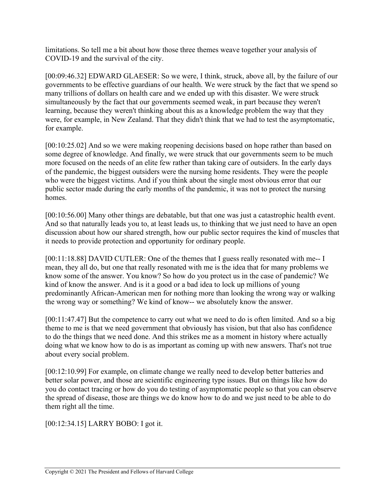limitations. So tell me a bit about how those three themes weave together your analysis of COVID-19 and the survival of the city.

[00:09:46.32] EDWARD GLAESER: So we were, I think, struck, above all, by the failure of our governments to be effective guardians of our health. We were struck by the fact that we spend so many trillions of dollars on health care and we ended up with this disaster. We were struck simultaneously by the fact that our governments seemed weak, in part because they weren't learning, because they weren't thinking about this as a knowledge problem the way that they were, for example, in New Zealand. That they didn't think that we had to test the asymptomatic, for example.

[00:10:25.02] And so we were making reopening decisions based on hope rather than based on some degree of knowledge. And finally, we were struck that our governments seem to be much more focused on the needs of an elite few rather than taking care of outsiders. In the early days of the pandemic, the biggest outsiders were the nursing home residents. They were the people who were the biggest victims. And if you think about the single most obvious error that our public sector made during the early months of the pandemic, it was not to protect the nursing homes.

[00:10:56.00] Many other things are debatable, but that one was just a catastrophic health event. And so that naturally leads you to, at least leads us, to thinking that we just need to have an open discussion about how our shared strength, how our public sector requires the kind of muscles that it needs to provide protection and opportunity for ordinary people.

[00:11:18.88] DAVID CUTLER: One of the themes that I guess really resonated with me-- I mean, they all do, but one that really resonated with me is the idea that for many problems we know some of the answer. You know? So how do you protect us in the case of pandemic? We kind of know the answer. And is it a good or a bad idea to lock up millions of young predominantly African-American men for nothing more than looking the wrong way or walking the wrong way or something? We kind of know-- we absolutely know the answer.

[00:11:47.47] But the competence to carry out what we need to do is often limited. And so a big theme to me is that we need government that obviously has vision, but that also has confidence to do the things that we need done. And this strikes me as a moment in history where actually doing what we know how to do is as important as coming up with new answers. That's not true about every social problem.

[00:12:10.99] For example, on climate change we really need to develop better batteries and better solar power, and those are scientific engineering type issues. But on things like how do you do contact tracing or how do you do testing of asymptomatic people so that you can observe the spread of disease, those are things we do know how to do and we just need to be able to do them right all the time.

[00:12:34.15] LARRY BOBO: I got it.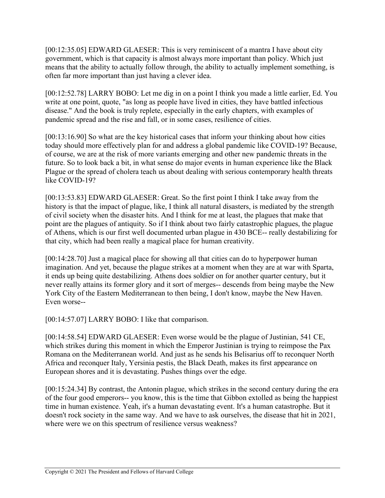[00:12:35.05] EDWARD GLAESER: This is very reminiscent of a mantra I have about city government, which is that capacity is almost always more important than policy. Which just means that the ability to actually follow through, the ability to actually implement something, is often far more important than just having a clever idea.

[00:12:52.78] LARRY BOBO: Let me dig in on a point I think you made a little earlier, Ed. You write at one point, quote, "as long as people have lived in cities, they have battled infectious disease." And the book is truly replete, especially in the early chapters, with examples of pandemic spread and the rise and fall, or in some cases, resilience of cities.

[00:13:16.90] So what are the key historical cases that inform your thinking about how cities today should more effectively plan for and address a global pandemic like COVID-19? Because, of course, we are at the risk of more variants emerging and other new pandemic threats in the future. So to look back a bit, in what sense do major events in human experience like the Black Plague or the spread of cholera teach us about dealing with serious contemporary health threats like COVID-19?

[00:13:53.83] EDWARD GLAESER: Great. So the first point I think I take away from the history is that the impact of plague, like, I think all natural disasters, is mediated by the strength of civil society when the disaster hits. And I think for me at least, the plagues that make that point are the plagues of antiquity. So if I think about two fairly catastrophic plagues, the plague of Athens, which is our first well documented urban plague in 430 BCE-- really destabilizing for that city, which had been really a magical place for human creativity.

[00:14:28.70] Just a magical place for showing all that cities can do to hyperpower human imagination. And yet, because the plague strikes at a moment when they are at war with Sparta, it ends up being quite destabilizing. Athens does soldier on for another quarter century, but it never really attains its former glory and it sort of merges-- descends from being maybe the New York City of the Eastern Mediterranean to then being, I don't know, maybe the New Haven. Even worse--

[00:14:57.07] LARRY BOBO: I like that comparison.

[00:14:58.54] EDWARD GLAESER: Even worse would be the plague of Justinian, 541 CE, which strikes during this moment in which the Emperor Justinian is trying to reimpose the Pax Romana on the Mediterranean world. And just as he sends his Belisarius off to reconquer North Africa and reconquer Italy, Yersinia pestis, the Black Death, makes its first appearance on European shores and it is devastating. Pushes things over the edge.

[00:15:24.34] By contrast, the Antonin plague, which strikes in the second century during the era of the four good emperors-- you know, this is the time that Gibbon extolled as being the happiest time in human existence. Yeah, it's a human devastating event. It's a human catastrophe. But it doesn't rock society in the same way. And we have to ask ourselves, the disease that hit in 2021, where were we on this spectrum of resilience versus weakness?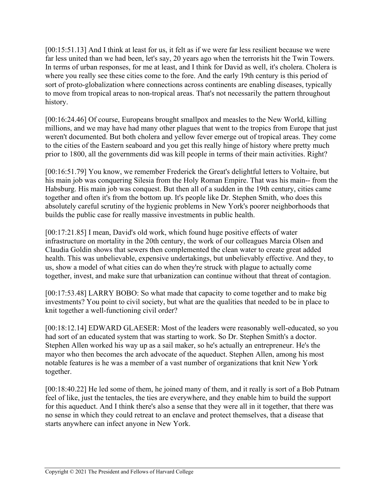[00:15:51.13] And I think at least for us, it felt as if we were far less resilient because we were far less united than we had been, let's say, 20 years ago when the terrorists hit the Twin Towers. In terms of urban responses, for me at least, and I think for David as well, it's cholera. Cholera is where you really see these cities come to the fore. And the early 19th century is this period of sort of proto-globalization where connections across continents are enabling diseases, typically to move from tropical areas to non-tropical areas. That's not necessarily the pattern throughout history.

[00:16:24.46] Of course, Europeans brought smallpox and measles to the New World, killing millions, and we may have had many other plagues that went to the tropics from Europe that just weren't documented. But both cholera and yellow fever emerge out of tropical areas. They come to the cities of the Eastern seaboard and you get this really hinge of history where pretty much prior to 1800, all the governments did was kill people in terms of their main activities. Right?

[00:16:51.79] You know, we remember Frederick the Great's delightful letters to Voltaire, but his main job was conquering Silesia from the Holy Roman Empire. That was his main-- from the Habsburg. His main job was conquest. But then all of a sudden in the 19th century, cities came together and often it's from the bottom up. It's people like Dr. Stephen Smith, who does this absolutely careful scrutiny of the hygienic problems in New York's poorer neighborhoods that builds the public case for really massive investments in public health.

[00:17:21.85] I mean, David's old work, which found huge positive effects of water infrastructure on mortality in the 20th century, the work of our colleagues Marcia Olsen and Claudia Goldin shows that sewers then complemented the clean water to create great added health. This was unbelievable, expensive undertakings, but unbelievably effective. And they, to us, show a model of what cities can do when they're struck with plague to actually come together, invest, and make sure that urbanization can continue without that threat of contagion.

[00:17:53.48] LARRY BOBO: So what made that capacity to come together and to make big investments? You point to civil society, but what are the qualities that needed to be in place to knit together a well-functioning civil order?

[00:18:12.14] EDWARD GLAESER: Most of the leaders were reasonably well-educated, so you had sort of an educated system that was starting to work. So Dr. Stephen Smith's a doctor. Stephen Allen worked his way up as a sail maker, so he's actually an entrepreneur. He's the mayor who then becomes the arch advocate of the aqueduct. Stephen Allen, among his most notable features is he was a member of a vast number of organizations that knit New York together.

[00:18:40.22] He led some of them, he joined many of them, and it really is sort of a Bob Putnam feel of like, just the tentacles, the ties are everywhere, and they enable him to build the support for this aqueduct. And I think there's also a sense that they were all in it together, that there was no sense in which they could retreat to an enclave and protect themselves, that a disease that starts anywhere can infect anyone in New York.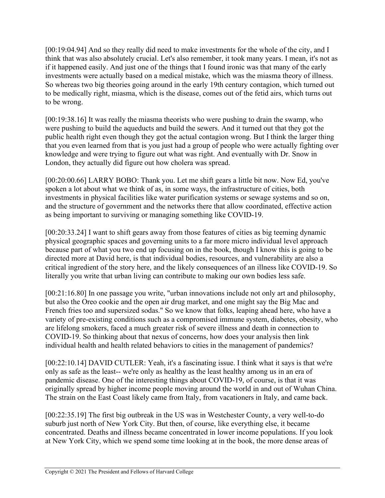[00:19:04.94] And so they really did need to make investments for the whole of the city, and I think that was also absolutely crucial. Let's also remember, it took many years. I mean, it's not as if it happened easily. And just one of the things that I found ironic was that many of the early investments were actually based on a medical mistake, which was the miasma theory of illness. So whereas two big theories going around in the early 19th century contagion, which turned out to be medically right, miasma, which is the disease, comes out of the fetid airs, which turns out to be wrong.

[00:19:38.16] It was really the miasma theorists who were pushing to drain the swamp, who were pushing to build the aqueducts and build the sewers. And it turned out that they got the public health right even though they got the actual contagion wrong. But I think the larger thing that you even learned from that is you just had a group of people who were actually fighting over knowledge and were trying to figure out what was right. And eventually with Dr. Snow in London, they actually did figure out how cholera was spread.

[00:20:00.66] LARRY BOBO: Thank you. Let me shift gears a little bit now. Now Ed, you've spoken a lot about what we think of as, in some ways, the infrastructure of cities, both investments in physical facilities like water purification systems or sewage systems and so on, and the structure of government and the networks there that allow coordinated, effective action as being important to surviving or managing something like COVID-19.

[00:20:33.24] I want to shift gears away from those features of cities as big teeming dynamic physical geographic spaces and governing units to a far more micro individual level approach because part of what you two end up focusing on in the book, though I know this is going to be directed more at David here, is that individual bodies, resources, and vulnerability are also a critical ingredient of the story here, and the likely consequences of an illness like COVID-19. So literally you write that urban living can contribute to making our own bodies less safe.

[00:21:16.80] In one passage you write, "urban innovations include not only art and philosophy, but also the Oreo cookie and the open air drug market, and one might say the Big Mac and French fries too and supersized sodas." So we know that folks, leaping ahead here, who have a variety of pre-existing conditions such as a compromised immune system, diabetes, obesity, who are lifelong smokers, faced a much greater risk of severe illness and death in connection to COVID-19. So thinking about that nexus of concerns, how does your analysis then link individual health and health related behaviors to cities in the management of pandemics?

[00:22:10.14] DAVID CUTLER: Yeah, it's a fascinating issue. I think what it says is that we're only as safe as the least-- we're only as healthy as the least healthy among us in an era of pandemic disease. One of the interesting things about COVID-19, of course, is that it was originally spread by higher income people moving around the world in and out of Wuhan China. The strain on the East Coast likely came from Italy, from vacationers in Italy, and came back.

[00:22:35.19] The first big outbreak in the US was in Westchester County, a very well-to-do suburb just north of New York City. But then, of course, like everything else, it became concentrated. Deaths and illness became concentrated in lower income populations. If you look at New York City, which we spend some time looking at in the book, the more dense areas of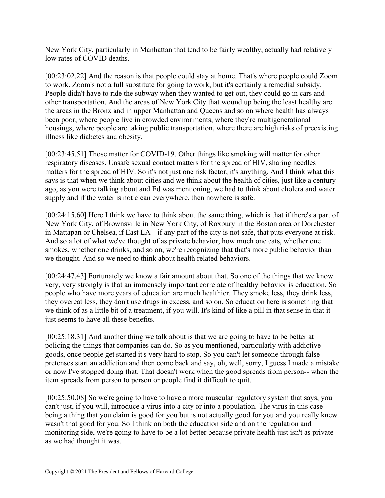New York City, particularly in Manhattan that tend to be fairly wealthy, actually had relatively low rates of COVID deaths.

[00:23:02.22] And the reason is that people could stay at home. That's where people could Zoom to work. Zoom's not a full substitute for going to work, but it's certainly a remedial subsidy. People didn't have to ride the subway when they wanted to get out, they could go in cars and other transportation. And the areas of New York City that wound up being the least healthy are the areas in the Bronx and in upper Manhattan and Queens and so on where health has always been poor, where people live in crowded environments, where they're multigenerational housings, where people are taking public transportation, where there are high risks of preexisting illness like diabetes and obesity.

[00:23:45.51] Those matter for COVID-19. Other things like smoking will matter for other respiratory diseases. Unsafe sexual contact matters for the spread of HIV, sharing needles matters for the spread of HIV. So it's not just one risk factor, it's anything. And I think what this says is that when we think about cities and we think about the health of cities, just like a century ago, as you were talking about and Ed was mentioning, we had to think about cholera and water supply and if the water is not clean everywhere, then nowhere is safe.

[00:24:15.60] Here I think we have to think about the same thing, which is that if there's a part of New York City, of Brownsville in New York City, of Roxbury in the Boston area or Dorchester in Mattapan or Chelsea, if East LA-- if any part of the city is not safe, that puts everyone at risk. And so a lot of what we've thought of as private behavior, how much one eats, whether one smokes, whether one drinks, and so on, we're recognizing that that's more public behavior than we thought. And so we need to think about health related behaviors.

[00:24:47.43] Fortunately we know a fair amount about that. So one of the things that we know very, very strongly is that an immensely important correlate of healthy behavior is education. So people who have more years of education are much healthier. They smoke less, they drink less, they overeat less, they don't use drugs in excess, and so on. So education here is something that we think of as a little bit of a treatment, if you will. It's kind of like a pill in that sense in that it just seems to have all these benefits.

[00:25:18.31] And another thing we talk about is that we are going to have to be better at policing the things that companies can do. So as you mentioned, particularly with addictive goods, once people get started it's very hard to stop. So you can't let someone through false pretenses start an addiction and then come back and say, oh, well, sorry, I guess I made a mistake or now I've stopped doing that. That doesn't work when the good spreads from person-- when the item spreads from person to person or people find it difficult to quit.

[00:25:50.08] So we're going to have to have a more muscular regulatory system that says, you can't just, if you will, introduce a virus into a city or into a population. The virus in this case being a thing that you claim is good for you but is not actually good for you and you really knew wasn't that good for you. So I think on both the education side and on the regulation and monitoring side, we're going to have to be a lot better because private health just isn't as private as we had thought it was.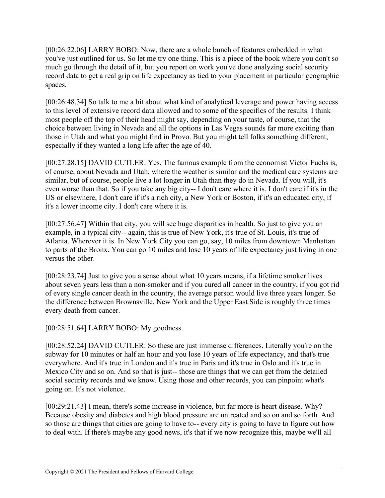[00:26:22.06] LARRY BOBO: Now, there are a whole bunch of features embedded in what you've just outlined for us. So let me try one thing. This is a piece of the book where you don't so much go through the detail of it, but you report on work you've done analyzing social security record data to get a real grip on life expectancy as tied to your placement in particular geographic spaces.

[00:26:48.34] So talk to me a bit about what kind of analytical leverage and power having access to this level of extensive record data allowed and to some of the specifics of the results. I think most people off the top of their head might say, depending on your taste, of course, that the choice between living in Nevada and all the options in Las Vegas sounds far more exciting than those in Utah and what you might find in Provo. But you might tell folks something different, especially if they wanted a long life after the age of 40.

[00:27:28.15] DAVID CUTLER: Yes. The famous example from the economist Victor Fuchs is, of course, about Nevada and Utah, where the weather is similar and the medical care systems are similar, but of course, people live a lot longer in Utah than they do in Nevada. If you will, it's even worse than that. So if you take any big city-- I don't care where it is. I don't care if it's in the US or elsewhere, I don't care if it's a rich city, a New York or Boston, if it's an educated city, if it's a lower income city. I don't care where it is.

[00:27:56.47] Within that city, you will see huge disparities in health. So just to give you an example, in a typical city-- again, this is true of New York, it's true of St. Louis, it's true of Atlanta. Wherever it is. In New York City you can go, say, 10 miles from downtown Manhattan to parts of the Bronx. You can go 10 miles and lose 10 years of life expectancy just living in one versus the other.

[00:28:23.74] Just to give you a sense about what 10 years means, if a lifetime smoker lives about seven years less than a non-smoker and if you cured all cancer in the country, if you got rid of every single cancer death in the country, the average person would live three years longer. So the difference between Brownsville, New York and the Upper East Side is roughly three times every death from cancer.

[00:28:51.64] LARRY BOBO: My goodness.

[00:28:52.24] DAVID CUTLER: So these are just immense differences. Literally you're on the subway for 10 minutes or half an hour and you lose 10 years of life expectancy, and that's true everywhere. And it's true in London and it's true in Paris and it's true in Oslo and it's true in Mexico City and so on. And so that is just-- those are things that we can get from the detailed social security records and we know. Using those and other records, you can pinpoint what's going on. It's not violence.

[00:29:21.43] I mean, there's some increase in violence, but far more is heart disease. Why? Because obesity and diabetes and high blood pressure are untreated and so on and so forth. And so those are things that cities are going to have to-- every city is going to have to figure out how to deal with. If there's maybe any good news, it's that if we now recognize this, maybe we'll all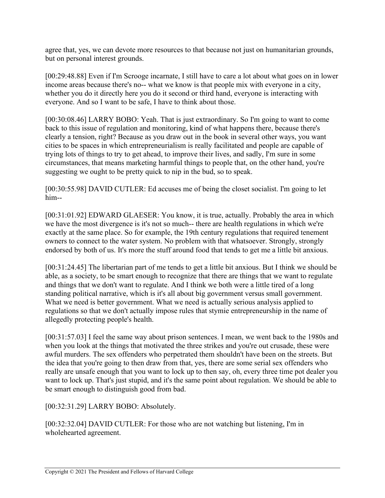agree that, yes, we can devote more resources to that because not just on humanitarian grounds, but on personal interest grounds.

[00:29:48.88] Even if I'm Scrooge incarnate, I still have to care a lot about what goes on in lower income areas because there's no-- what we know is that people mix with everyone in a city, whether you do it directly here you do it second or third hand, everyone is interacting with everyone. And so I want to be safe, I have to think about those.

[00:30:08.46] LARRY BOBO: Yeah. That is just extraordinary. So I'm going to want to come back to this issue of regulation and monitoring, kind of what happens there, because there's clearly a tension, right? Because as you draw out in the book in several other ways, you want cities to be spaces in which entrepreneurialism is really facilitated and people are capable of trying lots of things to try to get ahead, to improve their lives, and sadly, I'm sure in some circumstances, that means marketing harmful things to people that, on the other hand, you're suggesting we ought to be pretty quick to nip in the bud, so to speak.

[00:30:55.98] DAVID CUTLER: Ed accuses me of being the closet socialist. I'm going to let him--

[00:31:01.92] EDWARD GLAESER: You know, it is true, actually. Probably the area in which we have the most divergence is it's not so much-- there are health regulations in which we're exactly at the same place. So for example, the 19th century regulations that required tenement owners to connect to the water system. No problem with that whatsoever. Strongly, strongly endorsed by both of us. It's more the stuff around food that tends to get me a little bit anxious.

[00:31:24.45] The libertarian part of me tends to get a little bit anxious. But I think we should be able, as a society, to be smart enough to recognize that there are things that we want to regulate and things that we don't want to regulate. And I think we both were a little tired of a long standing political narrative, which is it's all about big government versus small government. What we need is better government. What we need is actually serious analysis applied to regulations so that we don't actually impose rules that stymie entrepreneurship in the name of allegedly protecting people's health.

[00:31:57.03] I feel the same way about prison sentences. I mean, we went back to the 1980s and when you look at the things that motivated the three strikes and you're out crusade, these were awful murders. The sex offenders who perpetrated them shouldn't have been on the streets. But the idea that you're going to then draw from that, yes, there are some serial sex offenders who really are unsafe enough that you want to lock up to then say, oh, every three time pot dealer you want to lock up. That's just stupid, and it's the same point about regulation. We should be able to be smart enough to distinguish good from bad.

[00:32:31.29] LARRY BOBO: Absolutely.

[00:32:32.04] DAVID CUTLER: For those who are not watching but listening, I'm in wholehearted agreement.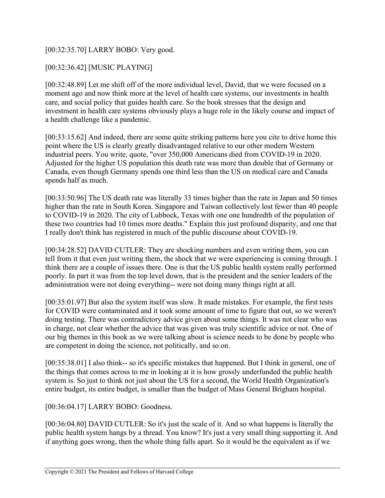#### [00:32:35.70] LARRY BOBO: Very good.

### [00:32:36.42] [MUSIC PLAYING]

[00:32:48.89] Let me shift off of the more individual level, David, that we were focused on a moment ago and now think more at the level of health care systems, our investments in health care, and social policy that guides health care. So the book stresses that the design and investment in health care systems obviously plays a huge role in the likely course and impact of a health challenge like a pandemic.

[00:33:15.62] And indeed, there are some quite striking patterns here you cite to drive home this point where the US is clearly greatly disadvantaged relative to our other modern Western industrial peers. You write, quote, "over 350,000 Americans died from COVID-19 in 2020. Adjusted for the higher US population this death rate was more than double that of Germany or Canada, even though Germany spends one third less than the US on medical care and Canada spends half as much.

[00:33:50.96] The US death rate was literally 33 times higher than the rate in Japan and 50 times higher than the rate in South Korea. Singapore and Taiwan collectively lost fewer than 40 people to COVID-19 in 2020. The city of Lubbock, Texas with one one hundredth of the population of these two countries had 10 times more deaths." Explain this just profound disparity, and one that I really don't think has registered in much of the public discourse about COVID-19.

[00:34:28.52] DAVID CUTLER: They are shocking numbers and even writing them, you can tell from it that even just writing them, the shock that we were experiencing is coming through. I think there are a couple of issues there. One is that the US public health system really performed poorly. In part it was from the top level down, that is the president and the senior leaders of the administration were not doing everything-- were not doing many things right at all.

[00:35:01.97] But also the system itself was slow. It made mistakes. For example, the first tests for COVID were contaminated and it took some amount of time to figure that out, so we weren't doing testing. There was contradictory advice given about some things. It was not clear who was in charge, not clear whether the advice that was given was truly scientific advice or not. One of our big themes in this book as we were talking about is science needs to be done by people who are competent in doing the science, not politically, and so on.

[00:35:38.01] I also think-- so it's specific mistakes that happened. But I think in general, one of the things that comes across to me in looking at it is how grossly underfunded the public health system is. So just to think not just about the US for a second, the World Health Organization's entire budget, its entire budget, is smaller than the budget of Mass General Brigham hospital.

[00:36:04.17] LARRY BOBO: Goodness.

[00:36:04.80] DAVID CUTLER: So it's just the scale of it. And so what happens is literally the public health system hangs by a thread. You know? It's just a very small thing supporting it. And if anything goes wrong, then the whole thing falls apart. So it would be the equivalent as if we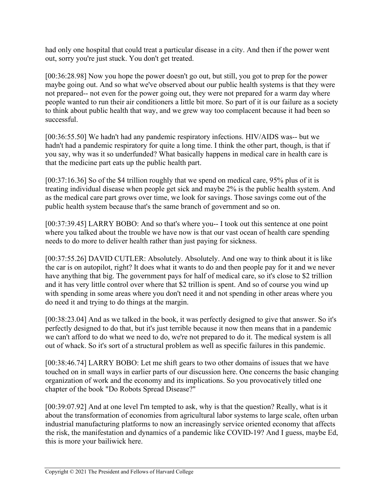had only one hospital that could treat a particular disease in a city. And then if the power went out, sorry you're just stuck. You don't get treated.

[00:36:28.98] Now you hope the power doesn't go out, but still, you got to prep for the power maybe going out. And so what we've observed about our public health systems is that they were not prepared-- not even for the power going out, they were not prepared for a warm day where people wanted to run their air conditioners a little bit more. So part of it is our failure as a society to think about public health that way, and we grew way too complacent because it had been so successful.

[00:36:55.50] We hadn't had any pandemic respiratory infections. HIV/AIDS was-- but we hadn't had a pandemic respiratory for quite a long time. I think the other part, though, is that if you say, why was it so underfunded? What basically happens in medical care in health care is that the medicine part eats up the public health part.

[00:37:16.36] So of the \$4 trillion roughly that we spend on medical care, 95% plus of it is treating individual disease when people get sick and maybe 2% is the public health system. And as the medical care part grows over time, we look for savings. Those savings come out of the public health system because that's the same branch of government and so on.

[00:37:39.45] LARRY BOBO: And so that's where you-- I took out this sentence at one point where you talked about the trouble we have now is that our vast ocean of health care spending needs to do more to deliver health rather than just paying for sickness.

[00:37:55.26] DAVID CUTLER: Absolutely. Absolutely. And one way to think about it is like the car is on autopilot, right? It does what it wants to do and then people pay for it and we never have anything that big. The government pays for half of medical care, so it's close to \$2 trillion and it has very little control over where that \$2 trillion is spent. And so of course you wind up with spending in some areas where you don't need it and not spending in other areas where you do need it and trying to do things at the margin.

[00:38:23.04] And as we talked in the book, it was perfectly designed to give that answer. So it's perfectly designed to do that, but it's just terrible because it now then means that in a pandemic we can't afford to do what we need to do, we're not prepared to do it. The medical system is all out of whack. So it's sort of a structural problem as well as specific failures in this pandemic.

[00:38:46.74] LARRY BOBO: Let me shift gears to two other domains of issues that we have touched on in small ways in earlier parts of our discussion here. One concerns the basic changing organization of work and the economy and its implications. So you provocatively titled one chapter of the book "Do Robots Spread Disease?"

[00:39:07.92] And at one level I'm tempted to ask, why is that the question? Really, what is it about the transformation of economies from agricultural labor systems to large scale, often urban industrial manufacturing platforms to now an increasingly service oriented economy that affects the risk, the manifestation and dynamics of a pandemic like COVID-19? And I guess, maybe Ed, this is more your bailiwick here.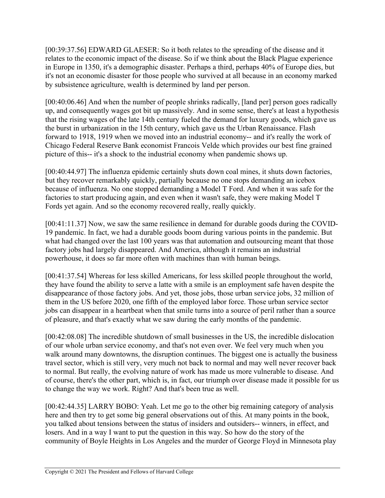[00:39:37.56] EDWARD GLAESER: So it both relates to the spreading of the disease and it relates to the economic impact of the disease. So if we think about the Black Plague experience in Europe in 1350, it's a demographic disaster. Perhaps a third, perhaps 40% of Europe dies, but it's not an economic disaster for those people who survived at all because in an economy marked by subsistence agriculture, wealth is determined by land per person.

[00:40:06.46] And when the number of people shrinks radically, [land per] person goes radically up, and consequently wages got bit up massively. And in some sense, there's at least a hypothesis that the rising wages of the late 14th century fueled the demand for luxury goods, which gave us the burst in urbanization in the 15th century, which gave us the Urban Renaissance. Flash forward to 1918, 1919 when we moved into an industrial economy-- and it's really the work of Chicago Federal Reserve Bank economist Francois Velde which provides our best fine grained picture of this-- it's a shock to the industrial economy when pandemic shows up.

[00:40:44.97] The influenza epidemic certainly shuts down coal mines, it shuts down factories, but they recover remarkably quickly, partially because no one stops demanding an icebox because of influenza. No one stopped demanding a Model T Ford. And when it was safe for the factories to start producing again, and even when it wasn't safe, they were making Model T Fords yet again. And so the economy recovered really, really quickly.

[00:41:11.37] Now, we saw the same resilience in demand for durable goods during the COVID-19 pandemic. In fact, we had a durable goods boom during various points in the pandemic. But what had changed over the last 100 years was that automation and outsourcing meant that those factory jobs had largely disappeared. And America, although it remains an industrial powerhouse, it does so far more often with machines than with human beings.

[00:41:37.54] Whereas for less skilled Americans, for less skilled people throughout the world, they have found the ability to serve a latte with a smile is an employment safe haven despite the disappearance of those factory jobs. And yet, those jobs, those urban service jobs, 32 million of them in the US before 2020, one fifth of the employed labor force. Those urban service sector jobs can disappear in a heartbeat when that smile turns into a source of peril rather than a source of pleasure, and that's exactly what we saw during the early months of the pandemic.

[00:42:08.08] The incredible shutdown of small businesses in the US, the incredible dislocation of our whole urban service economy, and that's not even over. We feel very much when you walk around many downtowns, the disruption continues. The biggest one is actually the business travel sector, which is still very, very much not back to normal and may well never recover back to normal. But really, the evolving nature of work has made us more vulnerable to disease. And of course, there's the other part, which is, in fact, our triumph over disease made it possible for us to change the way we work. Right? And that's been true as well.

[00:42:44.35] LARRY BOBO: Yeah. Let me go to the other big remaining category of analysis here and then try to get some big general observations out of this. At many points in the book, you talked about tensions between the status of insiders and outsiders-- winners, in effect, and losers. And in a way I want to put the question in this way. So how do the story of the community of Boyle Heights in Los Angeles and the murder of George Floyd in Minnesota play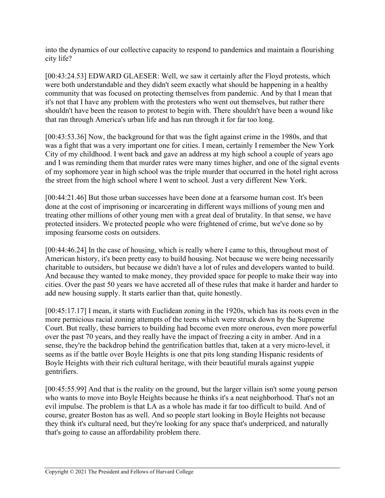into the dynamics of our collective capacity to respond to pandemics and maintain a flourishing city life?

[00:43:24.53] EDWARD GLAESER: Well, we saw it certainly after the Floyd protests, which were both understandable and they didn't seem exactly what should be happening in a healthy community that was focused on protecting themselves from pandemic. And by that I mean that it's not that I have any problem with the protesters who went out themselves, but rather there shouldn't have been the reason to protest to begin with. There shouldn't have been a wound like that ran through America's urban life and has run through it for far too long.

[00:43:53.36] Now, the background for that was the fight against crime in the 1980s, and that was a fight that was a very important one for cities. I mean, certainly I remember the New York City of my childhood. I went back and gave an address at my high school a couple of years ago and I was reminding them that murder rates were many times higher, and one of the signal events of my sophomore year in high school was the triple murder that occurred in the hotel right across the street from the high school where I went to school. Just a very different New York.

[00:44:21.46] But those urban successes have been done at a fearsome human cost. It's been done at the cost of imprisoning or incarcerating in different ways millions of young men and treating other millions of other young men with a great deal of brutality. In that sense, we have protected insiders. We protected people who were frightened of crime, but we've done so by imposing fearsome costs on outsiders.

[00:44:46.24] In the case of housing, which is really where I came to this, throughout most of American history, it's been pretty easy to build housing. Not because we were being necessarily charitable to outsiders, but because we didn't have a lot of rules and developers wanted to build. And because they wanted to make money, they provided space for people to make their way into cities. Over the past 50 years we have accreted all of these rules that make it harder and harder to add new housing supply. It starts earlier than that, quite honestly.

[00:45:17.17] I mean, it starts with Euclidean zoning in the 1920s, which has its roots even in the more pernicious racial zoning attempts of the teens which were struck down by the Supreme Court. But really, these barriers to building had become even more onerous, even more powerful over the past 70 years, and they really have the impact of freezing a city in amber. And in a sense, they're the backdrop behind the gentrification battles that, taken at a very micro-level, it seems as if the battle over Boyle Heights is one that pits long standing Hispanic residents of Boyle Heights with their rich cultural heritage, with their beautiful murals against yuppie gentrifiers.

[00:45:55.99] And that is the reality on the ground, but the larger villain isn't some young person who wants to move into Boyle Heights because he thinks it's a neat neighborhood. That's not an evil impulse. The problem is that LA as a whole has made it far too difficult to build. And of course, greater Boston has as well. And so people start looking in Boyle Heights not because they think it's cultural need, but they're looking for any space that's underpriced, and naturally that's going to cause an affordability problem there.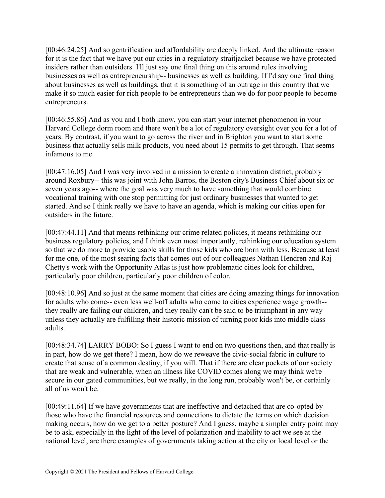[00:46:24.25] And so gentrification and affordability are deeply linked. And the ultimate reason for it is the fact that we have put our cities in a regulatory straitjacket because we have protected insiders rather than outsiders. I'll just say one final thing on this around rules involving businesses as well as entrepreneurship-- businesses as well as building. If I'd say one final thing about businesses as well as buildings, that it is something of an outrage in this country that we make it so much easier for rich people to be entrepreneurs than we do for poor people to become entrepreneurs.

[00:46:55.86] And as you and I both know, you can start your internet phenomenon in your Harvard College dorm room and there won't be a lot of regulatory oversight over you for a lot of years. By contrast, if you want to go across the river and in Brighton you want to start some business that actually sells milk products, you need about 15 permits to get through. That seems infamous to me.

[00:47:16.05] And I was very involved in a mission to create a innovation district, probably around Roxbury-- this was joint with John Barros, the Boston city's Business Chief about six or seven years ago-- where the goal was very much to have something that would combine vocational training with one stop permitting for just ordinary businesses that wanted to get started. And so I think really we have to have an agenda, which is making our cities open for outsiders in the future.

[00:47:44.11] And that means rethinking our crime related policies, it means rethinking our business regulatory policies, and I think even most importantly, rethinking our education system so that we do more to provide usable skills for those kids who are born with less. Because at least for me one, of the most searing facts that comes out of our colleagues Nathan Hendren and Raj Chetty's work with the Opportunity Atlas is just how problematic cities look for children, particularly poor children, particularly poor children of color.

[00:48:10.96] And so just at the same moment that cities are doing amazing things for innovation for adults who come-- even less well-off adults who come to cities experience wage growth- they really are failing our children, and they really can't be said to be triumphant in any way unless they actually are fulfilling their historic mission of turning poor kids into middle class adults.

[00:48:34.74] LARRY BOBO: So I guess I want to end on two questions then, and that really is in part, how do we get there? I mean, how do we reweave the civic-social fabric in culture to create that sense of a common destiny, if you will. That if there are clear pockets of our society that are weak and vulnerable, when an illness like COVID comes along we may think we're secure in our gated communities, but we really, in the long run, probably won't be, or certainly all of us won't be.

[00:49:11.64] If we have governments that are ineffective and detached that are co-opted by those who have the financial resources and connections to dictate the terms on which decision making occurs, how do we get to a better posture? And I guess, maybe a simpler entry point may be to ask, especially in the light of the level of polarization and inability to act we see at the national level, are there examples of governments taking action at the city or local level or the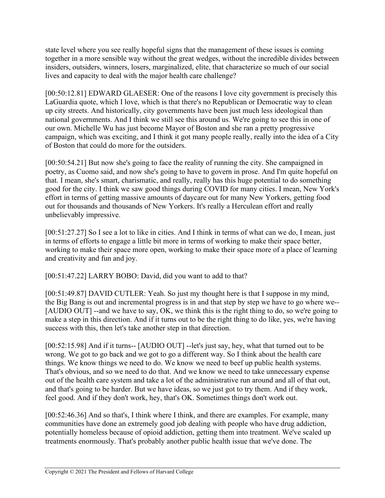state level where you see really hopeful signs that the management of these issues is coming together in a more sensible way without the great wedges, without the incredible divides between insiders, outsiders, winners, losers, marginalized, elite, that characterize so much of our social lives and capacity to deal with the major health care challenge?

[00:50:12.81] EDWARD GLAESER: One of the reasons I love city government is precisely this LaGuardia quote, which I love, which is that there's no Republican or Democratic way to clean up city streets. And historically, city governments have been just much less ideological than national governments. And I think we still see this around us. We're going to see this in one of our own. Michelle Wu has just become Mayor of Boston and she ran a pretty progressive campaign, which was exciting, and I think it got many people really, really into the idea of a City of Boston that could do more for the outsiders.

[00:50:54.21] But now she's going to face the reality of running the city. She campaigned in poetry, as Cuomo said, and now she's going to have to govern in prose. And I'm quite hopeful on that. I mean, she's smart, charismatic, and really, really has this huge potential to do something good for the city. I think we saw good things during COVID for many cities. I mean, New York's effort in terms of getting massive amounts of daycare out for many New Yorkers, getting food out for thousands and thousands of New Yorkers. It's really a Herculean effort and really unbelievably impressive.

[00:51:27.27] So I see a lot to like in cities. And I think in terms of what can we do, I mean, just in terms of efforts to engage a little bit more in terms of working to make their space better, working to make their space more open, working to make their space more of a place of learning and creativity and fun and joy.

[00:51:47.22] LARRY BOBO: David, did you want to add to that?

[00:51:49.87] DAVID CUTLER: Yeah. So just my thought here is that I suppose in my mind, the Big Bang is out and incremental progress is in and that step by step we have to go where we-- [AUDIO OUT] --and we have to say, OK, we think this is the right thing to do, so we're going to make a step in this direction. And if it turns out to be the right thing to do like, yes, we're having success with this, then let's take another step in that direction.

[00:52:15.98] And if it turns-- [AUDIO OUT] --let's just say, hey, what that turned out to be wrong. We got to go back and we got to go a different way. So I think about the health care things. We know things we need to do. We know we need to beef up public health systems. That's obvious, and so we need to do that. And we know we need to take unnecessary expense out of the health care system and take a lot of the administrative run around and all of that out, and that's going to be harder. But we have ideas, so we just got to try them. And if they work, feel good. And if they don't work, hey, that's OK. Sometimes things don't work out.

[00:52:46.36] And so that's, I think where I think, and there are examples. For example, many communities have done an extremely good job dealing with people who have drug addiction, potentially homeless because of opioid addiction, getting them into treatment. We've scaled up treatments enormously. That's probably another public health issue that we've done. The